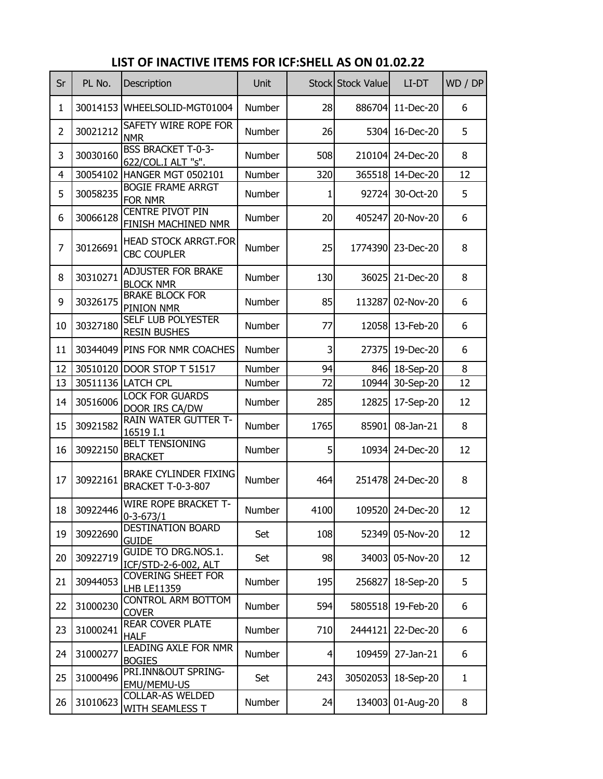| Sr             | PL No.   | Description                                              | Unit          |                 | Stock Stock Value | LI-DT            | WD / DP      |
|----------------|----------|----------------------------------------------------------|---------------|-----------------|-------------------|------------------|--------------|
| $\mathbf{1}$   | 30014153 | WHEELSOLID-MGT01004                                      | <b>Number</b> | 28              | 886704            | 11-Dec-20        | 6            |
| $\overline{2}$ | 30021212 | SAFETY WIRE ROPE FOR<br><b>NMR</b>                       | Number        | 26              | 5304              | 16-Dec-20        | 5            |
| 3              | 30030160 | <b>BSS BRACKET T-0-3-</b><br>622/COL.I ALT "s".          | <b>Number</b> | 508             | 210104            | 24-Dec-20        | 8            |
| 4              |          | 30054102 HANGER MGT 0502101                              | Number        | 320             |                   | 365518 14-Dec-20 | 12           |
| 5              | 30058235 | <b>BOGIE FRAME ARRGT</b><br>FOR NMR                      | <b>Number</b> | 1               | 92724             | 30-Oct-20        | 5            |
| 6              | 30066128 | <b>CENTRE PIVOT PIN</b><br>FINISH MACHINED NMR           | Number        | 20              | 405247            | 20-Nov-20        | 6            |
| 7              | 30126691 | <b>HEAD STOCK ARRGT.FOR</b><br><b>CBC COUPLER</b>        | Number        | 25              | 1774390           | 23-Dec-20        | 8            |
| 8              | 30310271 | <b>ADJUSTER FOR BRAKE</b><br><b>BLOCK NMR</b>            | <b>Number</b> | 130             | 36025             | 21-Dec-20        | 8            |
| 9              | 30326175 | <b>BRAKE BLOCK FOR</b><br>PINION NMR                     | Number        | 85              | 113287            | 02-Nov-20        | 6            |
| 10             | 30327180 | SELF LUB POLYESTER<br><b>RESIN BUSHES</b>                | Number        | 77              | 12058             | 13-Feb-20        | 6            |
| 11             | 30344049 | <b>PINS FOR NMR COACHES</b>                              | <b>Number</b> | 3               | 27375             | 19-Dec-20        | 6            |
| 12             |          | 30510120 DOOR STOP T 51517                               | Number        | 94              |                   | 846 18-Sep-20    | 8            |
| 13             |          | 30511136 LATCH CPL                                       | Number        | 72              | 10944             | 30-Sep-20        | 12           |
| 14             | 30516006 | <b>LOCK FOR GUARDS</b><br>DOOR IRS CA/DW                 | <b>Number</b> | 285             | 12825             | 17-Sep-20        | 12           |
| 15             | 30921582 | RAIN WATER GUTTER T-<br>16519 I.1                        | Number        | 1765            | 85901             | 08-Jan-21        | 8            |
| 16             | 30922150 | <b>BELT TENSIONING</b><br><b>BRACKET</b>                 | Number        | 5               | 10934             | 24-Dec-20        | 12           |
| 17             | 30922161 | <b>BRAKE CYLINDER FIXING</b><br><b>BRACKET T-0-3-807</b> | Number        | 464             |                   | 251478 24-Dec-20 | 8            |
| 18             | 30922446 | <b>WIRE ROPE BRACKET T-</b><br>$0 - 3 - 673/1$           | Number        | 4100            |                   | 109520 24-Dec-20 | 12           |
| 19             | 30922690 | DESTINATION BOARD<br><b>GUIDE</b>                        | Set           | 108             |                   | 52349 05-Nov-20  | 12           |
| 20             | 30922719 | <b>GUIDE TO DRG.NOS.1.</b><br>ICF/STD-2-6-002, ALT       | Set           | 98              |                   | 34003 05-Nov-20  | 12           |
| 21             | 30944053 | COVERING SHEET FOR<br>LHB LE11359                        | Number        | 195             | 256827            | 18-Sep-20        | 5            |
| 22             | 31000230 | <b>CONTROL ARM BOTTOM</b><br><b>COVER</b>                | Number        | 594             | 5805518           | 19-Feb-20        | 6            |
| 23             | 31000241 | REAR COVER PLATE<br><b>HALF</b>                          | Number        | 710             | 2444121           | 22-Dec-20        | 6            |
| 24             | 31000277 | LEADING AXLE FOR NMR<br><b>BOGIES</b>                    | Number        | $\vert 4 \vert$ | 109459            | 27-Jan-21        | 6            |
| 25             | 31000496 | PRI.INN&OUT SPRING-<br>EMU/MEMU-US                       | Set           | 243             | 30502053          | 18-Sep-20        | $\mathbf{1}$ |
| 26             | 31010623 | <b>COLLAR-AS WELDED</b><br>WITH SEAMLESS T               | Number        | 24              | 134003            | 01-Aug-20        | 8            |

## **LIST OF INACTIVE ITEMS FOR ICF:SHELL AS ON 01.02.22**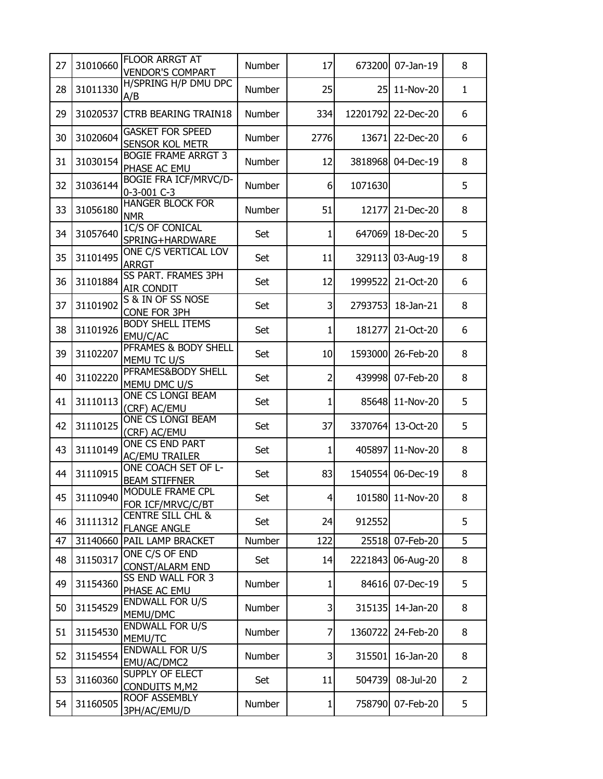| 27 | 31010660 | <b>FLOOR ARRGT AT</b><br><b>VENDOR'S COMPART</b>    | <b>Number</b> | 17           | 673200   | 07-Jan-19        | 8              |
|----|----------|-----------------------------------------------------|---------------|--------------|----------|------------------|----------------|
| 28 | 31011330 | H/SPRING H/P DMU DPC<br>A/B                         | <b>Number</b> | 25           | 25       | 11-Nov-20        | $\mathbf{1}$   |
| 29 | 31020537 | <b>CTRB BEARING TRAIN18</b>                         | <b>Number</b> | 334          | 12201792 | 22-Dec-20        | 6              |
| 30 | 31020604 | <b>GASKET FOR SPEED</b><br><b>SENSOR KOL METR</b>   | <b>Number</b> | 2776         | 13671    | 22-Dec-20        | 6              |
| 31 | 31030154 | <b>BOGIE FRAME ARRGT 3</b><br>PHASE AC EMU          | <b>Number</b> | 12           | 3818968  | 04-Dec-19        | 8              |
| 32 | 31036144 | <b>BOGIE FRA ICF/MRVC/D-</b><br>0-3-001 C-3         | <b>Number</b> | 6            | 1071630  |                  | 5              |
| 33 | 31056180 | <b>HANGER BLOCK FOR</b><br><b>NMR</b>               | <b>Number</b> | 51           | 12177    | 21-Dec-20        | 8              |
| 34 | 31057640 | 1C/S OF CONICAL<br>SPRING+HARDWARE                  | Set           | $\mathbf{1}$ | 647069   | 18-Dec-20        | 5              |
| 35 | 31101495 | ONE C/S VERTICAL LOV<br><b>ARRGT</b>                | Set           | 11           | 329113   | 03-Aug-19        | 8              |
| 36 | 31101884 | SS PART. FRAMES 3PH<br><b>AIR CONDIT</b>            | Set           | 12           | 1999522  | 21-Oct-20        | 6              |
| 37 | 31101902 | S & IN OF SS NOSE<br>CONE FOR 3PH                   | Set           | 3            | 2793753  | 18-Jan-21        | 8              |
| 38 | 31101926 | <b>BODY SHELL ITEMS</b><br>EMU/C/AC                 | Set           | 1            | 181277   | 21-Oct-20        | 6              |
| 39 | 31102207 | PFRAMES & BODY SHELL<br>MEMU TC U/S                 | Set           | 10           | 1593000  | 26-Feb-20        | 8              |
| 40 | 31102220 | PFRAMES&BODY SHELL<br>MEMU DMC U/S                  | Set           | 2            | 439998   | 07-Feb-20        | 8              |
| 41 | 31110113 | ONE CS LONGI BEAM<br>(CRF) AC/EMU                   | Set           | 1            | 85648    | 11-Nov-20        | 5              |
| 42 | 31110125 | ONE CS LONGI BEAM<br>(CRF) AC/EMU                   | Set           | 37           | 3370764  | 13-Oct-20        | 5              |
| 43 | 31110149 | ONE CS END PART<br><b>AC/EMU TRAILER</b>            | Set           | 1            | 405897   | 11-Nov-20        | 8              |
| 44 | 31110915 | ONE COACH SET OF L-<br><b>BEAM STIFFNER</b>         | Set           | 83           | 1540554  | 06-Dec-19        | 8              |
| 45 | 31110940 | MODULE FRAME CPL<br>FOR ICF/MRVC/C/BT               | Set           | 4            |          | 101580 11-Nov-20 | 8              |
| 46 | 31111312 | <b>CENTRE SILL CHL &amp;</b><br><b>FLANGE ANGLE</b> | Set           | 24           | 912552   |                  | 5              |
| 47 | 31140660 | PAIL LAMP BRACKET                                   | Number        | 122          | 25518    | 07-Feb-20        | 5              |
| 48 | 31150317 | ONE C/S OF END<br><b>CONST/ALARM END</b>            | Set           | 14           | 2221843  | 06-Aug-20        | 8              |
| 49 | 31154360 | <b>SS END WALL FOR 3</b><br>PHASE AC EMU            | Number        | $\mathbf{1}$ | 84616    | 07-Dec-19        | 5              |
| 50 | 31154529 | <b>ENDWALL FOR U/S</b><br>MEMU/DMC                  | Number        | 3            | 315135   | 14-Jan-20        | 8              |
| 51 | 31154530 | <b>ENDWALL FOR U/S</b><br>MEMU/TC                   | Number        | 7            | 1360722  | 24-Feb-20        | 8              |
| 52 | 31154554 | <b>ENDWALL FOR U/S</b><br>EMU/AC/DMC2               | Number        | 3            | 315501   | 16-Jan-20        | 8              |
| 53 | 31160360 | SUPPLY OF ELECT<br><b>CONDUITS M,M2</b>             | Set           | 11           | 504739   | 08-Jul-20        | $\overline{2}$ |
| 54 | 31160505 | ROOF ASSEMBLY<br>3PH/AC/EMU/D                       | Number        | $\mathbf{1}$ | 758790   | 07-Feb-20        | 5              |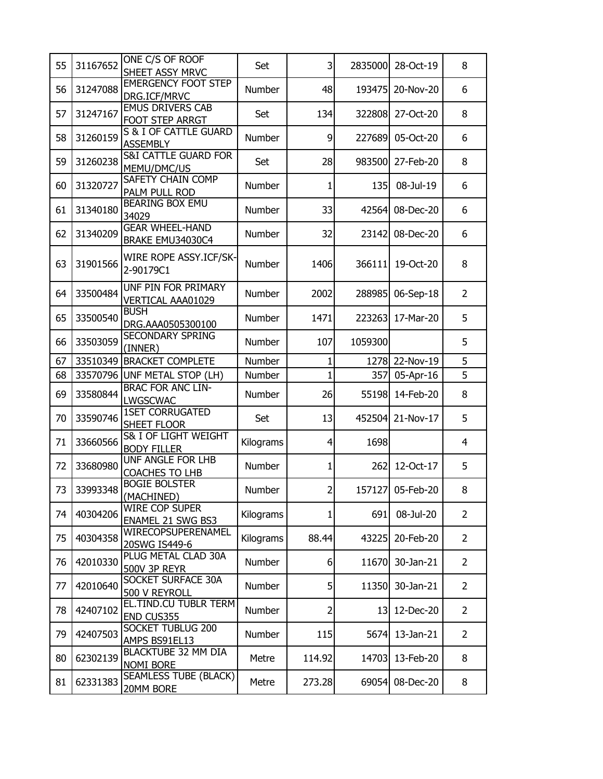| 55 | 31167652 | ONE C/S OF ROOF<br>SHEET ASSY MRVC             | Set           | 3              | 2835000 | 28-Oct-19        | 8              |
|----|----------|------------------------------------------------|---------------|----------------|---------|------------------|----------------|
| 56 | 31247088 | <b>EMERGENCY FOOT STEP</b><br>DRG.ICF/MRVC     | Number        | 48             | 193475  | 20-Nov-20        | 6              |
| 57 | 31247167 | <b>EMUS DRIVERS CAB</b><br>FOOT STEP ARRGT     | Set           | 134            | 322808  | 27-Oct-20        | 8              |
| 58 | 31260159 | S & I OF CATTLE GUARD<br><b>ASSEMBLY</b>       | Number        | 9              | 227689  | 05-Oct-20        | 6              |
| 59 | 31260238 | <b>S&amp;I CATTLE GUARD FOR</b><br>MEMU/DMC/US | Set           | 28             | 983500  | 27-Feb-20        | 8              |
| 60 | 31320727 | SAFETY CHAIN COMP<br>PALM PULL ROD             | Number        | 1              | 135     | 08-Jul-19        | 6              |
| 61 | 31340180 | BEARING BOX EMU<br>34029                       | Number        | 33             | 42564   | 08-Dec-20        | 6              |
| 62 | 31340209 | <b>GEAR WHEEL-HAND</b><br>BRAKE EMU34030C4     | Number        | 32             | 23142   | 08-Dec-20        | 6              |
| 63 | 31901566 | <b>WIRE ROPE ASSY.ICF/SK-</b><br>2-90179C1     | Number        | 1406           | 366111  | 19-Oct-20        | 8              |
| 64 | 33500484 | UNF PIN FOR PRIMARY<br>VERTICAL AAA01029       | Number        | 2002           | 288985  | 06-Sep-18        | $\overline{2}$ |
| 65 | 33500540 | <b>BUSH</b><br>DRG.AAA0505300100               | Number        | 1471           | 223263  | 17-Mar-20        | 5              |
| 66 | 33503059 | <b>SECONDARY SPRING</b><br>(INNER)             | Number        | 107            | 1059300 |                  | 5              |
| 67 |          | 33510349 BRACKET COMPLETE                      | Number        | 1              | 1278    | 22-Nov-19        | 5              |
| 68 |          | 33570796 UNF METAL STOP (LH)                   | Number        | 1              | 357     | 05-Apr-16        | 5              |
| 69 | 33580844 | <b>BRAC FOR ANC LIN-</b><br>LWGSCWAC           | Number        | 26             | 55198   | 14-Feb-20        | 8              |
| 70 | 33590746 | <b>1SET CORRUGATED</b><br>SHEET FLOOR          | Set           | 13             | 452504  | 21-Nov-17        | 5              |
| 71 | 33660566 | S& I OF LIGHT WEIGHT<br><b>BODY FILLER</b>     | Kilograms     | $\overline{4}$ | 1698    |                  | $\overline{4}$ |
| 72 | 33680980 | UNF ANGLE FOR LHB<br><b>COACHES TO LHB</b>     | Number        | 1              | 262     | 12-Oct-17        | 5              |
| 73 | 33993348 | <b>BOGIE BOLSTER</b><br>(MACHINED)             | <b>Number</b> | $\overline{2}$ |         | 157127 05-Feb-20 | 8              |
| 74 | 40304206 | <b>WIRE COP SUPER</b><br>ENAMEL 21 SWG BS3     | Kilograms     | 1              | 691     | 08-Jul-20        | $\overline{2}$ |
| 75 | 40304358 | WIRECOPSUPERENAMEL<br>20SWG IS449-6            | Kilograms     | 88.44          | 43225   | 20-Feb-20        | $\overline{2}$ |
| 76 | 42010330 | PLUG METAL CLAD 30A<br><b>500V 3P REYR</b>     | Number        | $6 \mid$       | 11670   | 30-Jan-21        | $\overline{2}$ |
| 77 | 42010640 | SOCKET SURFACE 30A<br>500 V REYROLL            | Number        | 5              | 11350   | 30-Jan-21        | $\overline{2}$ |
| 78 | 42407102 | EL.TIND.CU TUBLR TERM<br>END CUS355            | Number        | $\overline{2}$ | 13      | 12-Dec-20        | $\overline{2}$ |
| 79 | 42407503 | SOCKET TUBLUG 200<br>AMPS BS91EL13             | Number        | 115            | 5674    | 13-Jan-21        | $\overline{2}$ |
| 80 | 62302139 | BLACKTUBE 32 MM DIA<br>NOMI BORE               | Metre         | 114.92         | 14703   | 13-Feb-20        | 8              |
| 81 | 62331383 | <b>SEAMLESS TUBE (BLACK)</b><br>20MM BORE      | Metre         | 273.28         | 69054   | 08-Dec-20        | 8              |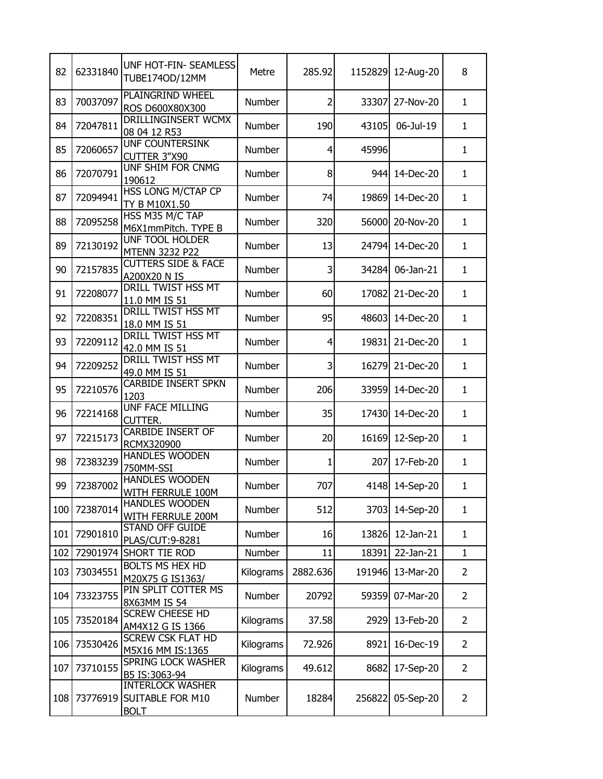| 82  | 62331840 | UNF HOT-FIN- SEAMLESS<br>TUBE174OD/12MM                    | Metre     | 285.92         | 1152829 | 12-Aug-20 | 8              |
|-----|----------|------------------------------------------------------------|-----------|----------------|---------|-----------|----------------|
| 83  | 70037097 | PLAINGRIND WHEEL<br>ROS D600X80X300                        | Number    | 2              | 33307   | 27-Nov-20 | $\mathbf{1}$   |
| 84  | 72047811 | DRILLINGINSERT WCMX<br>08 04 12 R53                        | Number    | 190            | 43105   | 06-Jul-19 | $\mathbf{1}$   |
| 85  | 72060657 | UNF COUNTERSINK<br>CUTTER 3"X90                            | Number    | $\overline{4}$ | 45996   |           | $\mathbf{1}$   |
| 86  | 72070791 | UNF SHIM FOR CNMG<br>190612                                | Number    | 8              | 944     | 14-Dec-20 | $\mathbf{1}$   |
| 87  | 72094941 | HSS LONG M/CTAP CP<br>TY B M10X1.50                        | Number    | 74             | 19869   | 14-Dec-20 | $\mathbf{1}$   |
| 88  | 72095258 | HSS M35 M/C TAP<br>M6X1mmPitch. TYPE B                     | Number    | 320            | 56000   | 20-Nov-20 | $\mathbf{1}$   |
| 89  | 72130192 | <b>UNF TOOL HOLDER</b><br><b>MTENN 3232 P22</b>            | Number    | 13             | 24794   | 14-Dec-20 | $\mathbf{1}$   |
| 90  | 72157835 | <b>CUTTERS SIDE &amp; FACE</b><br>A200X20 N IS             | Number    | 3              | 34284   | 06-Jan-21 | $\mathbf{1}$   |
| 91  | 72208077 | DRILL TWIST HSS MT<br>11.0 MM IS 51                        | Number    | 60             | 17082   | 21-Dec-20 | $\mathbf{1}$   |
| 92  | 72208351 | DRILL TWIST HSS MT<br>18.0 MM IS 51                        | Number    | 95             | 48603   | 14-Dec-20 | $\mathbf{1}$   |
| 93  | 72209112 | DRILL TWIST HSS MT<br>42.0 MM IS 51                        | Number    | $\overline{4}$ | 19831   | 21-Dec-20 | $\mathbf{1}$   |
| 94  | 72209252 | DRILL TWIST HSS MT<br>49.0 MM IS 51                        | Number    | 3              | 16279   | 21-Dec-20 | $\mathbf{1}$   |
| 95  | 72210576 | CARBIDE INSERT SPKN<br>1203                                | Number    | 206            | 33959   | 14-Dec-20 | $\mathbf{1}$   |
| 96  | 72214168 | UNF FACE MILLING<br>CUTTER.                                | Number    | 35             | 17430   | 14-Dec-20 | $\mathbf{1}$   |
| 97  | 72215173 | <b>CARBIDE INSERT OF</b><br>RCMX320900                     | Number    | 20             | 16169   | 12-Sep-20 | $\mathbf{1}$   |
| 98  | 72383239 | <b>HANDLES WOODEN</b><br>750MM-SSI                         | Number    | 1              | 207     | 17-Feb-20 | $\mathbf{1}$   |
| 99  | 72387002 | <b>HANDLES WOODEN</b><br>WITH FERRULE 100M                 | Number    | 707            | 4148    | 14-Sep-20 | $\mathbf{1}$   |
| 100 | 72387014 | <b>HANDLES WOODEN</b><br>WITH FERRULE 200M                 | Number    | 512            | 3703    | 14-Sep-20 | $\mathbf{1}$   |
| 101 | 72901810 | <b>STAND OFF GUIDE</b><br>PLAS/CUT: 9-8281                 | Number    | 16             | 13826   | 12-Jan-21 | $\mathbf{1}$   |
| 102 |          | 72901974 SHORT TIE ROD                                     | Number    | 11             | 18391   | 22-Jan-21 | $\mathbf{1}$   |
| 103 | 73034551 | <b>BOLTS MS HEX HD</b><br>M20X75 G IS1363/                 | Kilograms | 2882.636       | 191946  | 13-Mar-20 | $\overline{2}$ |
| 104 | 73323755 | PIN SPLIT COTTER MS<br>8X63MM IS 54                        | Number    | 20792          | 59359   | 07-Mar-20 | $\overline{2}$ |
| 105 | 73520184 | <b>SCREW CHEESE HD</b><br>AM4X12 G IS 1366                 | Kilograms | 37.58          | 2929    | 13-Feb-20 | $\overline{2}$ |
| 106 | 73530426 | <b>SCREW CSK FLAT HD</b><br>M5X16 MM IS:1365               | Kilograms | 72.926         | 8921    | 16-Dec-19 | $\overline{2}$ |
| 107 | 73710155 | <b>SPRING LOCK WASHER</b><br>B5 IS:3063-94                 | Kilograms | 49.612         | 8682    | 17-Sep-20 | $\overline{2}$ |
| 108 | 73776919 | <b>INTERLOCK WASHER</b><br>SUITABLE FOR M10<br><b>BOLT</b> | Number    | 18284          | 256822  | 05-Sep-20 | $\overline{2}$ |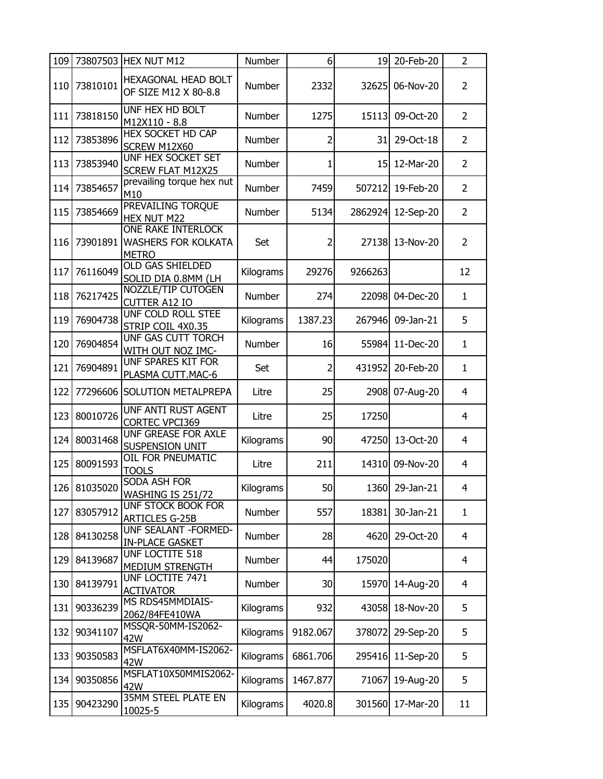| 109 |              | 73807503 HEX NUT M12                                                    | Number    | 6 <sup>1</sup> | 19      | 20-Feb-20      | $\overline{2}$ |
|-----|--------------|-------------------------------------------------------------------------|-----------|----------------|---------|----------------|----------------|
| 110 | 73810101     | HEXAGONAL HEAD BOLT<br>OF SIZE M12 X 80-8.8                             | Number    | 2332           | 32625   | 06-Nov-20      | $\overline{2}$ |
| 111 | 73818150     | UNF HEX HD BOLT<br>M12X110 - 8.8                                        | Number    | 1275           | 15113   | 09-Oct-20      | $\overline{2}$ |
| 112 | 73853896     | <b>HEX SOCKET HD CAP</b><br>SCREW M12X60                                | Number    | $\overline{2}$ | 31      | 29-Oct-18      | $\overline{2}$ |
| 113 | 73853940     | <b>UNF HEX SOCKET SET</b><br><b>SCREW FLAT M12X25</b>                   | Number    | 1              | 15      | 12-Mar-20      | $\overline{2}$ |
| 114 | 73854657     | prevailing torque hex nut<br>M10                                        | Number    | 7459           | 507212  | 19-Feb-20      | $\overline{2}$ |
| 115 | 73854669     | PREVAILING TORQUE<br>HEX NUT M22                                        | Number    | 5134           | 2862924 | 12-Sep-20      | $\overline{2}$ |
| 116 | 73901891     | <b>ONE RAKE INTERLOCK</b><br><b>WASHERS FOR KOLKATA</b><br><b>METRO</b> | Set       | $\overline{2}$ | 27138   | 13-Nov-20      | $\overline{2}$ |
| 117 | 76116049     | <b>OLD GAS SHIELDED</b><br>SOLID DIA 0.8MM (LH                          | Kilograms | 29276          | 9266263 |                | 12             |
| 118 | 76217425     | NOZZLE/TIP CUTOGEN<br><b>CUTTER A12 IO</b>                              | Number    | 274            | 22098   | 04-Dec-20      | $\mathbf{1}$   |
| 119 | 76904738     | UNF COLD ROLL STEE<br>STRIP COIL 4X0.35                                 | Kilograms | 1387.23        | 267946  | 09-Jan-21      | 5              |
| 120 | 76904854     | UNF GAS CUTT TORCH<br>WITH OUT NOZ IMC-                                 | Number    | 16             | 55984   | 11-Dec-20      | $\mathbf{1}$   |
| 121 | 76904891     | UNF SPARES KIT FOR<br>PLASMA CUTT.MAC-6                                 | Set       | $\overline{2}$ | 431952  | 20-Feb-20      | $\mathbf{1}$   |
| 122 |              | 77296606 SOLUTION METALPREPA                                            | Litre     | 25             | 2908    | 07-Aug-20      | $\overline{4}$ |
| 123 | 80010726     | UNF ANTI RUST AGENT<br><b>CORTEC VPCI369</b>                            | Litre     | 25             | 17250   |                | $\overline{4}$ |
| 124 | 80031468     | UNF GREASE FOR AXLE<br><b>SUSPENSION UNIT</b>                           | Kilograms | 90             | 47250   | 13-Oct-20      | 4              |
| 125 | 80091593     | OIL FOR PNEUMATIC<br><b>TOOLS</b>                                       | Litre     | 211            | 14310   | 09-Nov-20      | 4              |
|     | 126 81035020 | <b>SODA ASH FOR</b><br><b>WASHING IS 251/72</b>                         | Kilograms | 50             |         | 1360 29-Jan-21 | 4              |
| 127 | 83057912     | UNF STOCK BOOK FOR<br><b>ARTICLES G-25B</b>                             | Number    | 557            | 18381   | 30-Jan-21      | $\mathbf{1}$   |
| 128 | 84130258     | UNF SEALANT - FORMED-<br><b>IN-PLACE GASKET</b>                         | Number    | 28             | 4620    | 29-Oct-20      | $\overline{4}$ |
| 129 | 84139687     | UNF LOCTITE 518<br>MEDIUM STRENGTH                                      | Number    | 44             | 175020  |                | $\overline{4}$ |
| 130 | 84139791     | UNF LOCTITE 7471<br><b>ACTIVATOR</b>                                    | Number    | 30             | 15970   | 14-Aug-20      | $\overline{4}$ |
| 131 | 90336239     | MS RDS45MMDIAIS-<br>2062/84FE410WA                                      | Kilograms | 932            | 43058   | 18-Nov-20      | 5              |
| 132 | 90341107     | MSSQR-50MM-IS2062-<br>42W                                               | Kilograms | 9182.067       | 378072  | 29-Sep-20      | 5              |
| 133 | 90350583     | MSFLAT6X40MM-IS2062-<br>42W                                             | Kilograms | 6861.706       | 295416  | 11-Sep-20      | 5              |
| 134 | 90350856     | MSFLAT10X50MMIS2062-<br>42W                                             | Kilograms | 1467.877       | 71067   | 19-Aug-20      | 5              |
| 135 | 90423290     | 35MM STEEL PLATE EN<br>10025-5                                          | Kilograms | 4020.8         | 301560  | 17-Mar-20      | 11             |